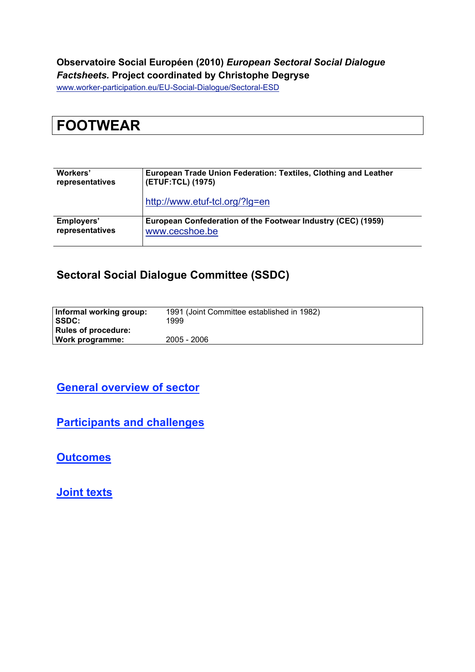#### **Observatoire Social Européen (2010)** *European Sectoral Social Dialogue Factsheets.* **Project coordinated by Christophe Degryse**

www.worker-participation.eu/EU-Social-Dialogue/Sectoral-ESD

# **FOOTWEAR**

| Workers'        | European Trade Union Federation: Textiles, Clothing and Leather |  |  |
|-----------------|-----------------------------------------------------------------|--|--|
| representatives | (ETUF:TCL) (1975)                                               |  |  |
|                 | http://www.etuf-tcl.org/?lg=en                                  |  |  |
| Employers'      | European Confederation of the Footwear Industry (CEC) (1959)    |  |  |
| representatives | www.cecshoe.be                                                  |  |  |

#### **Sectoral Social Dialogue Committee (SSDC)**

| Informal working group:<br><b>ISSDC:</b> | 1991 (Joint Committee established in 1982)<br>1999 |
|------------------------------------------|----------------------------------------------------|
| <b>Rules of procedure:</b>               |                                                    |
| Work programme:                          | 2005 - 2006                                        |

#### **General overview of sector**

**Participants and challenges**

**Outcomes**

**Joint texts**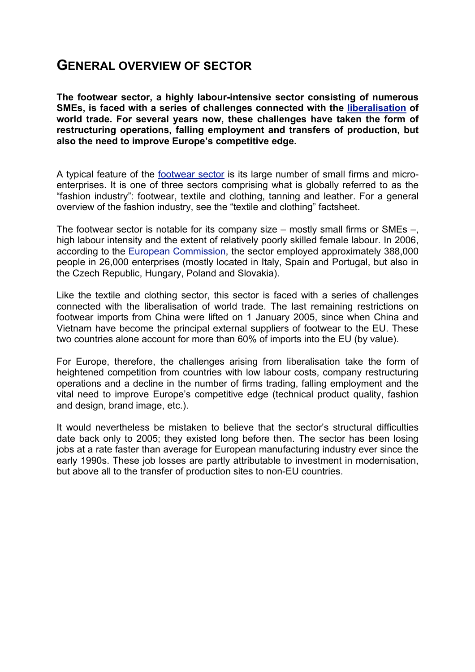## **GENERAL OVERVIEW OF SECTOR**

**The footwear sector, a highly labour-intensive sector consisting of numerous SMEs, is faced with a series of challenges connected with the liberalisation of world trade. For several years now, these challenges have taken the form of restructuring operations, falling employment and transfers of production, but also the need to improve Europe's competitive edge.**

A typical feature of the footwear sector is its large number of small firms and microenterprises. It is one of three sectors comprising what is globally referred to as the "fashion industry": footwear, textile and clothing, tanning and leather. For a general overview of the fashion industry, see the "textile and clothing" factsheet.

The footwear sector is notable for its company size – mostly small firms or SMEs –, high labour intensity and the extent of relatively poorly skilled female labour. In 2006, according to the European Commission, the sector employed approximately 388,000 people in 26,000 enterprises (mostly located in Italy, Spain and Portugal, but also in the Czech Republic, Hungary, Poland and Slovakia).

Like the textile and clothing sector, this sector is faced with a series of challenges connected with the liberalisation of world trade. The last remaining restrictions on footwear imports from China were lifted on 1 January 2005, since when China and Vietnam have become the principal external suppliers of footwear to the EU. These two countries alone account for more than 60% of imports into the EU (by value).

For Europe, therefore, the challenges arising from liberalisation take the form of heightened competition from countries with low labour costs, company restructuring operations and a decline in the number of firms trading, falling employment and the vital need to improve Europe's competitive edge (technical product quality, fashion and design, brand image, etc.).

It would nevertheless be mistaken to believe that the sector's structural difficulties date back only to 2005; they existed long before then. The sector has been losing jobs at a rate faster than average for European manufacturing industry ever since the early 1990s. These job losses are partly attributable to investment in modernisation, but above all to the transfer of production sites to non-EU countries.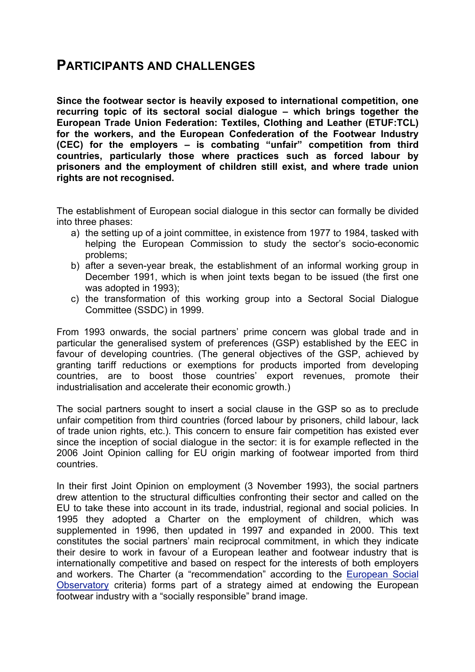### **PARTICIPANTS AND CHALLENGES**

**Since the footwear sector is heavily exposed to international competition, one recurring topic of its sectoral social dialogue – which brings together the European Trade Union Federation: Textiles, Clothing and Leather (ETUF:TCL) for the workers, and the European Confederation of the Footwear Industry (CEC) for the employers – is combating "unfair" competition from third countries, particularly those where practices such as forced labour by prisoners and the employment of children still exist, and where trade union rights are not recognised.**

The establishment of European social dialogue in this sector can formally be divided into three phases:

- a) the setting up of a joint committee, in existence from 1977 to 1984, tasked with helping the European Commission to study the sector's socio-economic problems;
- b) after a seven-year break, the establishment of an informal working group in December 1991, which is when joint texts began to be issued (the first one was adopted in 1993);
- c) the transformation of this working group into a Sectoral Social Dialogue Committee (SSDC) in 1999.

From 1993 onwards, the social partners' prime concern was global trade and in particular the generalised system of preferences (GSP) established by the EEC in favour of developing countries. (The general objectives of the GSP, achieved by granting tariff reductions or exemptions for products imported from developing countries, are to boost those countries' export revenues, promote their industrialisation and accelerate their economic growth.)

The social partners sought to insert a social clause in the GSP so as to preclude unfair competition from third countries (forced labour by prisoners, child labour, lack of trade union rights, etc.). This concern to ensure fair competition has existed ever since the inception of social dialogue in the sector: it is for example reflected in the 2006 Joint Opinion calling for EU origin marking of footwear imported from third countries.

In their first Joint Opinion on employment (3 November 1993), the social partners drew attention to the structural difficulties confronting their sector and called on the EU to take these into account in its trade, industrial, regional and social policies. In 1995 they adopted a Charter on the employment of children, which was supplemented in 1996, then updated in 1997 and expanded in 2000. This text constitutes the social partners' main reciprocal commitment, in which they indicate their desire to work in favour of a European leather and footwear industry that is internationally competitive and based on respect for the interests of both employers and workers. The Charter (a "recommendation" according to the European Social Observatory criteria) forms part of a strategy aimed at endowing the European footwear industry with a "socially responsible" brand image.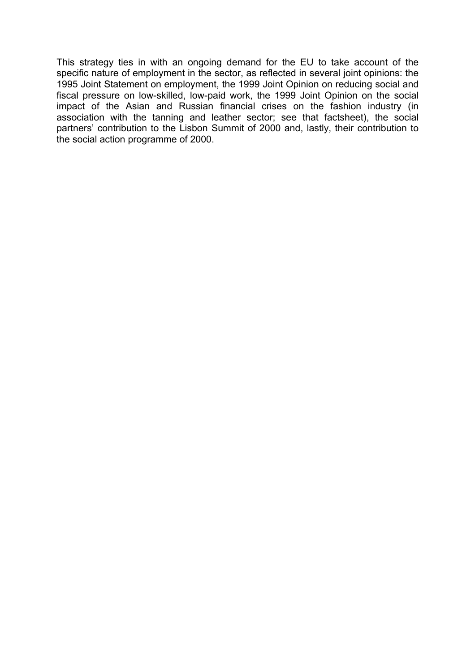This strategy ties in with an ongoing demand for the EU to take account of the specific nature of employment in the sector, as reflected in several joint opinions: the 1995 Joint Statement on employment, the 1999 Joint Opinion on reducing social and fiscal pressure on low-skilled, low-paid work, the 1999 Joint Opinion on the social impact of the Asian and Russian financial crises on the fashion industry (in association with the tanning and leather sector; see that factsheet), the social partners' contribution to the Lisbon Summit of 2000 and, lastly, their contribution to the social action programme of 2000.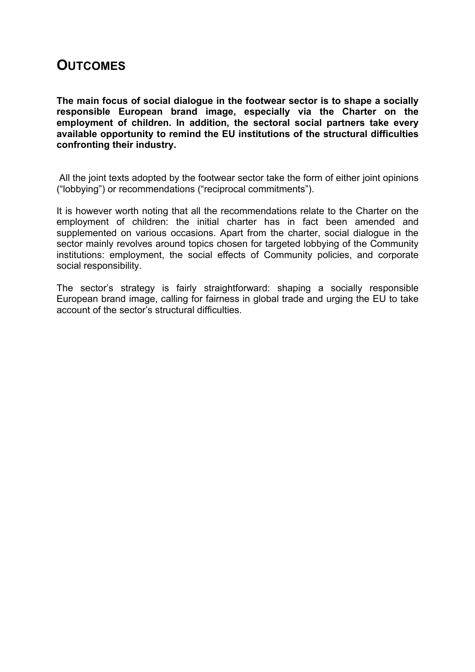### **OUTCOMES**

**The main focus of social dialogue in the footwear sector is to shape a socially responsible European brand image, especially via the Charter on the employment of children. In addition, the sectoral social partners take every available opportunity to remind the EU institutions of the structural difficulties confronting their industry.**

 All the joint texts adopted by the footwear sector take the form of either joint opinions ("lobbying") or recommendations ("reciprocal commitments").

It is however worth noting that all the recommendations relate to the Charter on the employment of children: the initial charter has in fact been amended and supplemented on various occasions. Apart from the charter, social dialogue in the sector mainly revolves around topics chosen for targeted lobbying of the Community institutions: employment, the social effects of Community policies, and corporate social responsibility.

The sector's strategy is fairly straightforward: shaping a socially responsible European brand image, calling for fairness in global trade and urging the EU to take account of the sector's structural difficulties.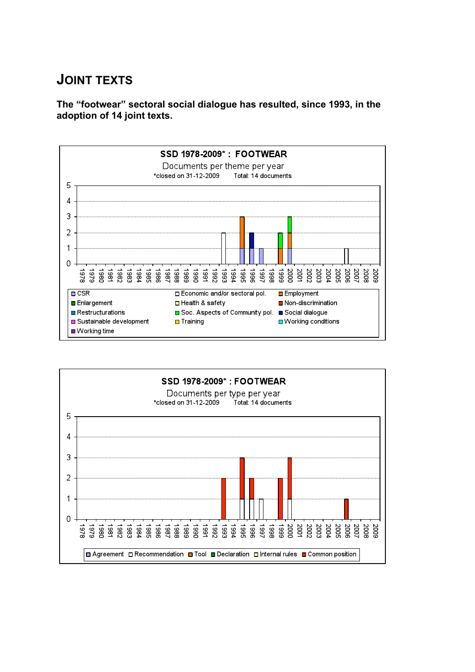# **JOINT TEXTS**

**The "footwear" sectoral social dialogue has resulted, since 1993, in the adoption of 14 joint texts.**